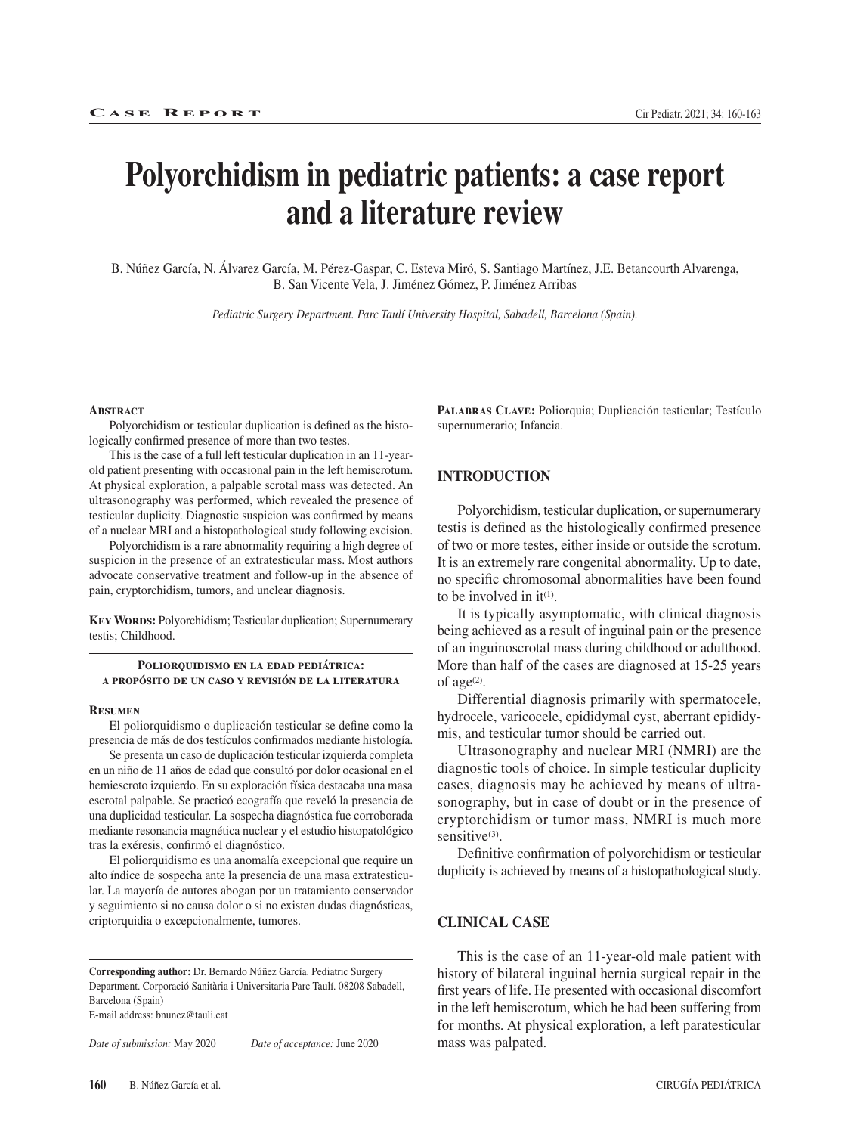# **Polyorchidism in pediatric patients: a case report and a literature review**

B. Núñez García, N. Álvarez García, M. Pérez-Gaspar, C. Esteva Miró, S. Santiago Martínez, J.E. Betancourth Alvarenga, B. San Vicente Vela, J. Jiménez Gómez, P. Jiménez Arribas

*Pediatric Surgery Department. Parc Taulí University Hospital, Sabadell, Barcelona (Spain).* 

#### **ABSTRACT**

Polyorchidism or testicular duplication is defined as the histologically confirmed presence of more than two testes.

This is the case of a full left testicular duplication in an 11-yearold patient presenting with occasional pain in the left hemiscrotum. At physical exploration, a palpable scrotal mass was detected. An ultrasonography was performed, which revealed the presence of testicular duplicity. Diagnostic suspicion was confirmed by means of a nuclear MRI and a histopathological study following excision.

Polyorchidism is a rare abnormality requiring a high degree of suspicion in the presence of an extratesticular mass. Most authors advocate conservative treatment and follow-up in the absence of pain, cryptorchidism, tumors, and unclear diagnosis.

**Key Words:** Polyorchidism; Testicular duplication; Supernumerary testis; Childhood.

**Poliorquidismo en la edad pediátrica: a propósito de un caso y revisión de la literatura**

#### **Resumen**

El poliorquidismo o duplicación testicular se define como la presencia de más de dos testículos confirmados mediante histología.

Se presenta un caso de duplicación testicular izquierda completa en un niño de 11 años de edad que consultó por dolor ocasional en el hemiescroto izquierdo. En su exploración física destacaba una masa escrotal palpable. Se practicó ecografía que reveló la presencia de una duplicidad testicular. La sospecha diagnóstica fue corroborada mediante resonancia magnética nuclear y el estudio histopatológico tras la exéresis, confirmó el diagnóstico.

El poliorquidismo es una anomalía excepcional que require un alto índice de sospecha ante la presencia de una masa extratesticular. La mayoría de autores abogan por un tratamiento conservador y seguimiento si no causa dolor o si no existen dudas diagnósticas, criptorquidia o excepcionalmente, tumores.

**Corresponding author:** Dr. Bernardo Núñez García. Pediatric Surgery Department. Corporació Sanitària i Universitaria Parc Taulí. 08208 Sabadell, Barcelona (Spain) E-mail address: bnunez@tauli.cat

*Date of submission:* May 2020 *Date of acceptance:* June 2020

**Palabras Clave:** Poliorquia; Duplicación testicular; Testículo supernumerario; Infancia.

## **INTRODUCTION**

Polyorchidism, testicular duplication, or supernumerary testis is defined as the histologically confirmed presence of two or more testes, either inside or outside the scrotum. It is an extremely rare congenital abnormality. Up to date, no specific chromosomal abnormalities have been found to be involved in  $it^{(1)}$ .

It is typically asymptomatic, with clinical diagnosis being achieved as a result of inguinal pain or the presence of an inguinoscrotal mass during childhood or adulthood. More than half of the cases are diagnosed at 15-25 years of age $(2)$ .

Differential diagnosis primarily with spermatocele, hydrocele, varicocele, epididymal cyst, aberrant epididymis, and testicular tumor should be carried out.

Ultrasonography and nuclear MRI (NMRI) are the diagnostic tools of choice. In simple testicular duplicity cases, diagnosis may be achieved by means of ultrasonography, but in case of doubt or in the presence of cryptorchidism or tumor mass, NMRI is much more sensitive $(3)$ .

Definitive confirmation of polyorchidism or testicular duplicity is achieved by means of a histopathological study.

#### **CLINICAL CASE**

This is the case of an 11-year-old male patient with history of bilateral inguinal hernia surgical repair in the first years of life. He presented with occasional discomfort in the left hemiscrotum, which he had been suffering from for months. At physical exploration, a left paratesticular mass was palpated.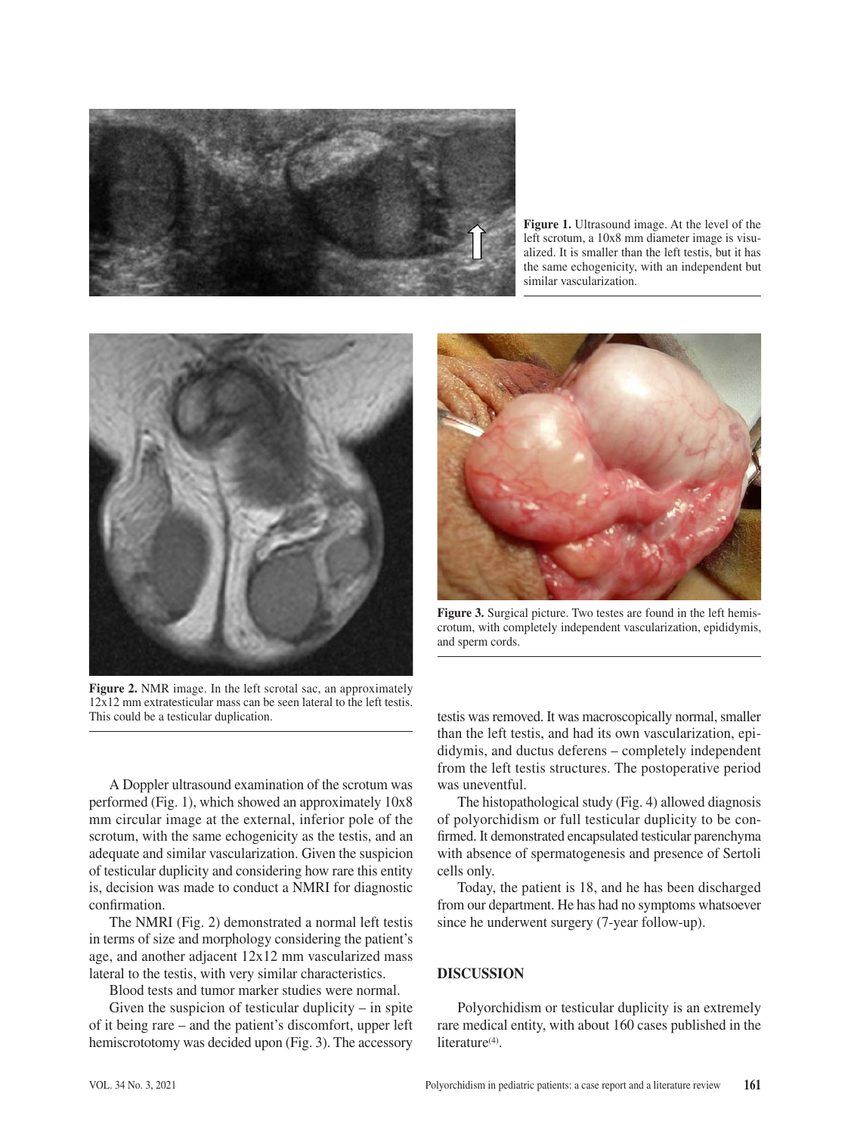

**Figure 1.** Ultrasound image. At the level of the left scrotum, a 10x8 mm diameter image is visualized. It is smaller than the left testis, but it has the same echogenicity, with an independent but similar vascularization.



**Figure 2.** NMR image. In the left scrotal sac, an approximately 12x12 mm extratesticular mass can be seen lateral to the left testis. This could be a testicular duplication.



adequate and similar vascularization. Given the suspicion of testicular duplicity and considering how rare this entity The histopathological study (Fig. 4) allowed diagnosis of polyorchidism or full testicular duplicity to be confirmed. It demonstrated encapsulated testicular parenchyma with absence of spermatogenesis and presence of Sertoli cells only.

Today, the patient is 18, and he has been discharged from our department. He has had no symptoms whatsoever since he underwent surgery (7-year follow-up).

## **DISCUSSION**

Polyorchidism or testicular duplicity is an extremely rare medical entity, with about 160 cases published in the literature<sup>(4)</sup>.

is, decision was made to conduct a NMRI for diagnostic confirmation. The NMRI (Fig. 2) demonstrated a normal left testis in terms of size and morphology considering the patient's age, and another adjacent 12x12 mm vascularized mass lateral to the testis, with very similar characteristics.

Blood tests and tumor marker studies were normal.

Given the suspicion of testicular duplicity  $-$  in spite of it being rare – and the patient's discomfort, upper left hemiscrototomy was decided upon (Fig. 3). The accessory



**Figure 3.** Surgical picture. Two testes are found in the left hemiscrotum, with completely independent vascularization, epididymis, and sperm cords.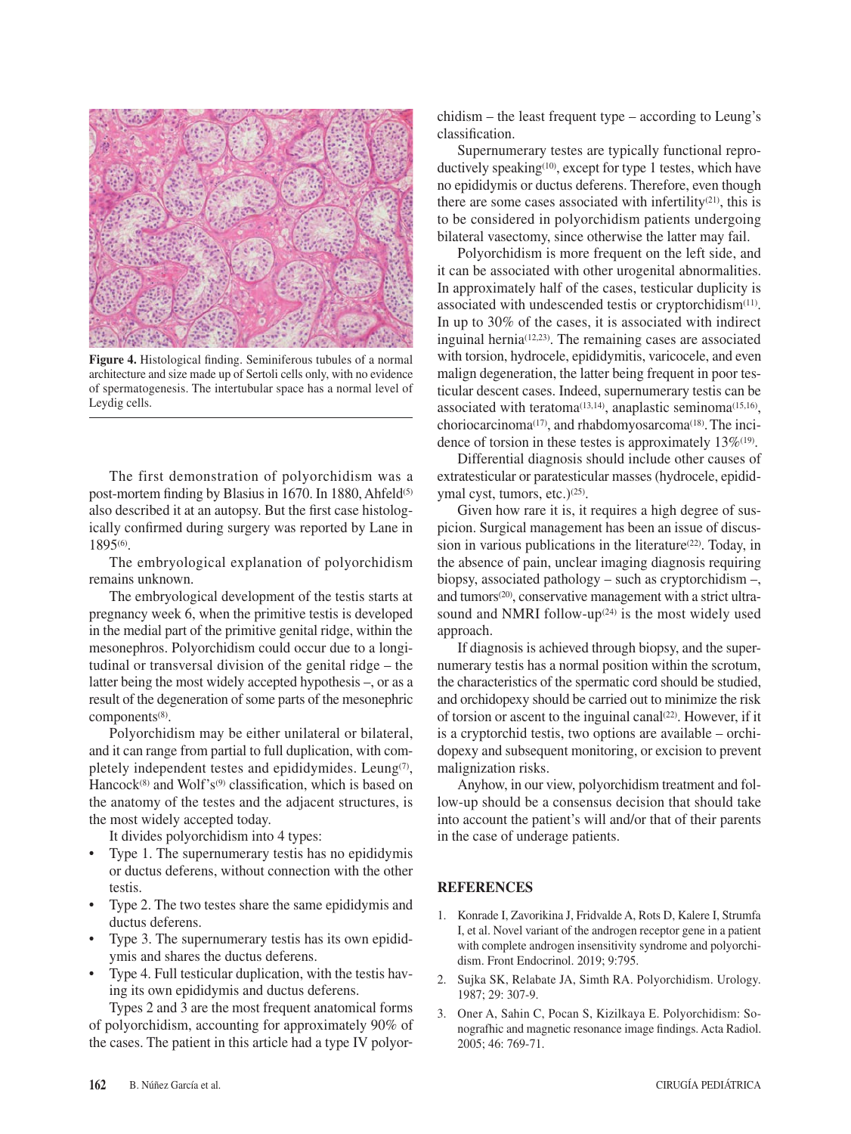

**Figure 4.** Histological finding. Seminiferous tubules of a normal architecture and size made up of Sertoli cells only, with no evidence of spermatogenesis. The intertubular space has a normal level of Leydig cells.

The first demonstration of polyorchidism was a post-mortem finding by Blasius in 1670. In 1880, Ahfeld<sup>(5)</sup> also described it at an autopsy. But the first case histologically confirmed during surgery was reported by Lane in 1895(6).

The embryological explanation of polyorchidism remains unknown.

The embryological development of the testis starts at pregnancy week 6, when the primitive testis is developed in the medial part of the primitive genital ridge, within the mesonephros. Polyorchidism could occur due to a longitudinal or transversal division of the genital ridge – the latter being the most widely accepted hypothesis –, or as a result of the degeneration of some parts of the mesonephric components<sup>(8)</sup>.

Polyorchidism may be either unilateral or bilateral, and it can range from partial to full duplication, with completely independent testes and epididymides. Leung(7), Hancock<sup>(8)</sup> and Wolf's<sup>(9)</sup> classification, which is based on the anatomy of the testes and the adjacent structures, is the most widely accepted today.

It divides polyorchidism into 4 types:

- Type 1. The supernumerary testis has no epididymis or ductus deferens, without connection with the other testis.
- Type 2. The two testes share the same epididymis and ductus deferens.
- Type 3. The supernumerary testis has its own epididymis and shares the ductus deferens.
- Type 4. Full testicular duplication, with the testis having its own epididymis and ductus deferens.

Types 2 and 3 are the most frequent anatomical forms of polyorchidism, accounting for approximately 90% of the cases. The patient in this article had a type IV polyorchidism – the least frequent type – according to Leung's classification.

Supernumerary testes are typically functional reproductively speaking<sup> $(10)$ </sup>, except for type 1 testes, which have no epididymis or ductus deferens. Therefore, even though there are some cases associated with infertility<sup>(21)</sup>, this is to be considered in polyorchidism patients undergoing bilateral vasectomy, since otherwise the latter may fail.

Polyorchidism is more frequent on the left side, and it can be associated with other urogenital abnormalities. In approximately half of the cases, testicular duplicity is associated with undescended testis or cryptorchidism<sup>(11)</sup>. In up to 30% of the cases, it is associated with indirect inguinal hernia<sup> $(12,23)$ </sup>. The remaining cases are associated with torsion, hydrocele, epididymitis, varicocele, and even malign degeneration, the latter being frequent in poor testicular descent cases. Indeed, supernumerary testis can be associated with teratoma<sup> $(13,14)$ </sup>, anaplastic seminoma<sup> $(15,16)$ </sup>, choriocarcinoma(17), and rhabdomyosarcoma(18).The incidence of torsion in these testes is approximately  $13\%^{(19)}$ .

Differential diagnosis should include other causes of extratesticular or paratesticular masses (hydrocele, epididymal cyst, tumors, etc.)<sup>(25)</sup>.

Given how rare it is, it requires a high degree of suspicion. Surgical management has been an issue of discussion in various publications in the literature<sup>(22)</sup>. Today, in the absence of pain, unclear imaging diagnosis requiring biopsy, associated pathology – such as cryptorchidism –, and tumors<sup>(20)</sup>, conservative management with a strict ultrasound and NMRI follow-up $(24)$  is the most widely used approach.

If diagnosis is achieved through biopsy, and the supernumerary testis has a normal position within the scrotum, the characteristics of the spermatic cord should be studied, and orchidopexy should be carried out to minimize the risk of torsion or ascent to the inguinal canal<sup> $(22)$ </sup>. However, if it is a cryptorchid testis, two options are available – orchidopexy and subsequent monitoring, or excision to prevent malignization risks.

Anyhow, in our view, polyorchidism treatment and follow-up should be a consensus decision that should take into account the patient's will and/or that of their parents in the case of underage patients.

## **REFERENCES**

- 1. Konrade I, Zavorikina J, Fridvalde A, Rots D, Kalere I, Strumfa I, et al. Novel variant of the androgen receptor gene in a patient with complete androgen insensitivity syndrome and polyorchidism. Front Endocrinol. 2019; 9:795.
- 2. Sujka SK, Relabate JA, Simth RA. Polyorchidism. Urology. 1987; 29: 307-9.
- 3. Oner A, Sahin C, Pocan S, Kizilkaya E. Polyorchidism: Sonografhic and magnetic resonance image findings. Acta Radiol. 2005; 46: 769-71.